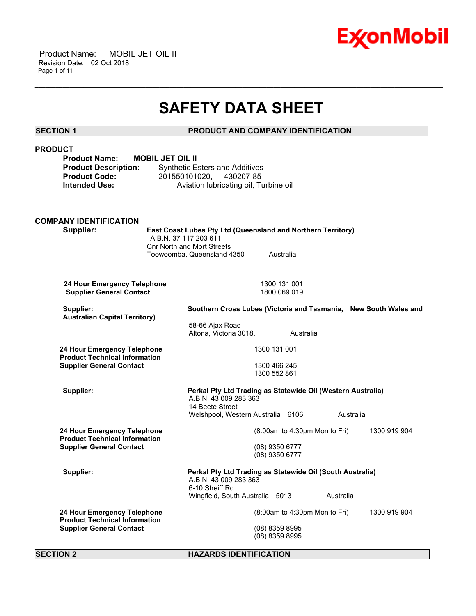

 Product Name: MOBIL JET OIL II Revision Date: 02 Oct 2018 Page 1 of 11

## **SAFETY DATA SHEET**

\_\_\_\_\_\_\_\_\_\_\_\_\_\_\_\_\_\_\_\_\_\_\_\_\_\_\_\_\_\_\_\_\_\_\_\_\_\_\_\_\_\_\_\_\_\_\_\_\_\_\_\_\_\_\_\_\_\_\_\_\_\_\_\_\_\_\_\_\_\_\_\_\_\_\_\_\_\_\_\_\_\_\_\_\_\_\_\_\_\_\_\_\_\_\_\_\_\_\_\_\_\_\_\_\_\_\_\_\_\_\_\_\_\_\_\_\_\_

### **SECTION 1 PRODUCT AND COMPANY IDENTIFICATION**

| <b>PRODUCT</b><br><b>Product Name:</b><br><b>Product Description:</b><br><b>Product Code:</b><br><b>Intended Use:</b> | <b>MOBIL JET OIL II</b><br><b>Synthetic Esters and Additives</b><br>201550101020,        | 430207-85<br>Aviation lubricating oil, Turbine oil                                               |           |              |
|-----------------------------------------------------------------------------------------------------------------------|------------------------------------------------------------------------------------------|--------------------------------------------------------------------------------------------------|-----------|--------------|
| <b>COMPANY IDENTIFICATION</b><br>Supplier:                                                                            | A.B.N. 37 117 203 611<br><b>Cnr North and Mort Streets</b><br>Toowoomba, Queensland 4350 | East Coast Lubes Pty Ltd (Queensland and Northern Territory)<br>Australia                        |           |              |
| 24 Hour Emergency Telephone<br><b>Supplier General Contact</b>                                                        |                                                                                          | 1300 131 001<br>1800 069 019                                                                     |           |              |
| Supplier:<br><b>Australian Capital Territory)</b>                                                                     | 58-66 Ajax Road<br>Altona, Victoria 3018,                                                | Southern Cross Lubes (Victoria and Tasmania, New South Wales and<br>Australia                    |           |              |
| 24 Hour Emergency Telephone<br><b>Product Technical Information</b><br><b>Supplier General Contact</b>                |                                                                                          | 1300 131 001<br>1300 466 245<br>1300 552 861                                                     |           |              |
| Supplier:                                                                                                             | A.B.N. 43 009 283 363<br>14 Beete Street                                                 | Perkal Pty Ltd Trading as Statewide Oil (Western Australia)<br>Welshpool, Western Australia 6106 | Australia |              |
| 24 Hour Emergency Telephone<br><b>Product Technical Information</b><br><b>Supplier General Contact</b>                |                                                                                          | (8:00am to 4:30pm Mon to Fri)<br>(08) 9350 6777<br>(08) 9350 6777                                |           | 1300 919 904 |
| Supplier:                                                                                                             | A.B.N. 43 009 283 363<br>6-10 Streiff Rd                                                 | Perkal Pty Ltd Trading as Statewide Oil (South Australia)<br>Wingfield, South Australia 5013     | Australia |              |
| 24 Hour Emergency Telephone<br><b>Product Technical Information</b><br><b>Supplier General Contact</b>                |                                                                                          | (8:00am to 4:30pm Mon to Fri)<br>(08) 8359 8995<br>(08) 8359 8995                                |           | 1300 919 904 |
| <b>SECTION 2</b>                                                                                                      |                                                                                          | <b>HAZARDS IDENTIFICATION</b>                                                                    |           |              |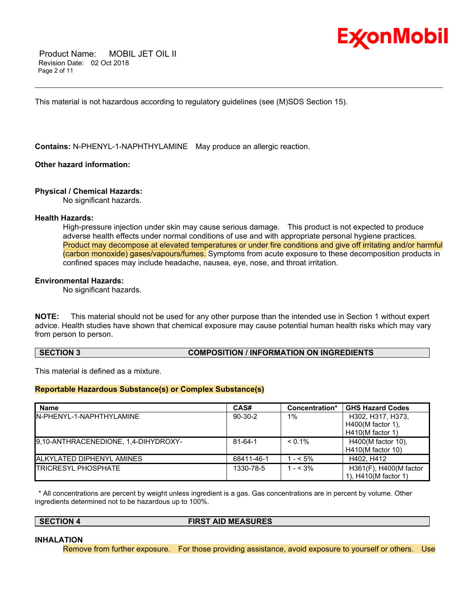

 Product Name: MOBIL JET OIL II Revision Date: 02 Oct 2018 Page 2 of 11

This material is not hazardous according to regulatory guidelines (see (M)SDS Section 15).

**Contains:** N-PHENYL-1-NAPHTHYLAMINE May produce an allergic reaction.

#### **Other hazard information:**

#### **Physical / Chemical Hazards:**

No significant hazards.

#### **Health Hazards:**

High-pressure injection under skin may cause serious damage. This product is not expected to produce adverse health effects under normal conditions of use and with appropriate personal hygiene practices. Product may decompose at elevated temperatures or under fire conditions and give off irritating and/or harmful (carbon monoxide) gases/vapours/fumes. Symptoms from acute exposure to these decomposition products in confined spaces may include headache, nausea, eye, nose, and throat irritation.

\_\_\_\_\_\_\_\_\_\_\_\_\_\_\_\_\_\_\_\_\_\_\_\_\_\_\_\_\_\_\_\_\_\_\_\_\_\_\_\_\_\_\_\_\_\_\_\_\_\_\_\_\_\_\_\_\_\_\_\_\_\_\_\_\_\_\_\_\_\_\_\_\_\_\_\_\_\_\_\_\_\_\_\_\_\_\_\_\_\_\_\_\_\_\_\_\_\_\_\_\_\_\_\_\_\_\_\_\_\_\_\_\_\_\_\_\_\_

#### **Environmental Hazards:**

No significant hazards.

**NOTE:** This material should not be used for any other purpose than the intended use in Section 1 without expert advice. Health studies have shown that chemical exposure may cause potential human health risks which may vary from person to person.

#### **SECTION 3 COMPOSITION / INFORMATION ON INGREDIENTS**

This material is defined as a mixture.

#### **Reportable Hazardous Substance(s) or Complex Substance(s)**

| <b>Name</b>                          | CAS#          | Concentration* | <b>GHS Hazard Codes</b> |
|--------------------------------------|---------------|----------------|-------------------------|
| IN-PHENYL-1-NAPHTHYLAMINE            | $90-30-2$     | $1\%$          | H302, H317, H373,       |
|                                      |               |                | $H400(M$ factor 1).     |
|                                      |               |                | $H410(M$ factor 1)      |
| 9,10-ANTHRACENEDIONE, 1,4-DIHYDROXY- | $81 - 64 - 1$ | $< 0.1\%$      | H400(M factor 10),      |
|                                      |               |                | $H410(M$ factor 10)     |
| ALKYLATED DIPHENYL AMINES            | 68411-46-1    | $- < 5\%$      | H402, H412              |
| <b>TRICRESYL PHOSPHATE</b>           | 1330-78-5     | $- < 3\%$      | H361(F), H400(M factor  |
|                                      |               |                | 1), H410(M factor 1)    |

 \* All concentrations are percent by weight unless ingredient is a gas. Gas concentrations are in percent by volume. Other ingredients determined not to be hazardous up to 100%.

**SECTION 4 FIRST AID MEASURES**

#### **INHALATION**

Remove from further exposure. For those providing assistance, avoid exposure to yourself or others. Use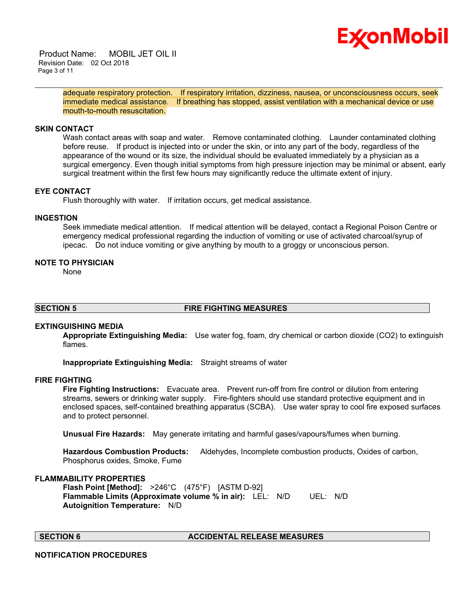# Ex⁄onMobil

 Product Name: MOBIL JET OIL II Revision Date: 02 Oct 2018 Page 3 of 11

> adequate respiratory protection. If respiratory irritation, dizziness, nausea, or unconsciousness occurs, seek immediate medical assistance. If breathing has stopped, assist ventilation with a mechanical device or use mouth-to-mouth resuscitation.

\_\_\_\_\_\_\_\_\_\_\_\_\_\_\_\_\_\_\_\_\_\_\_\_\_\_\_\_\_\_\_\_\_\_\_\_\_\_\_\_\_\_\_\_\_\_\_\_\_\_\_\_\_\_\_\_\_\_\_\_\_\_\_\_\_\_\_\_\_\_\_\_\_\_\_\_\_\_\_\_\_\_\_\_\_\_\_\_\_\_\_\_\_\_\_\_\_\_\_\_\_\_\_\_\_\_\_\_\_\_\_\_\_\_\_\_\_\_

#### **SKIN CONTACT**

Wash contact areas with soap and water. Remove contaminated clothing. Launder contaminated clothing before reuse. If product is injected into or under the skin, or into any part of the body, regardless of the appearance of the wound or its size, the individual should be evaluated immediately by a physician as a surgical emergency. Even though initial symptoms from high pressure injection may be minimal or absent, early surgical treatment within the first few hours may significantly reduce the ultimate extent of injury.

#### **EYE CONTACT**

Flush thoroughly with water. If irritation occurs, get medical assistance.

#### **INGESTION**

Seek immediate medical attention. If medical attention will be delayed, contact a Regional Poison Centre or emergency medical professional regarding the induction of vomiting or use of activated charcoal/syrup of ipecac. Do not induce vomiting or give anything by mouth to a groggy or unconscious person.

#### **NOTE TO PHYSICIAN**

None

### **SECTION 5 FIRE FIGHTING MEASURES**

#### **EXTINGUISHING MEDIA**

**Appropriate Extinguishing Media:** Use water fog, foam, dry chemical or carbon dioxide (CO2) to extinguish flames.

**Inappropriate Extinguishing Media:** Straight streams of water

### **FIRE FIGHTING**

**Fire Fighting Instructions:** Evacuate area. Prevent run-off from fire control or dilution from entering streams, sewers or drinking water supply. Fire-fighters should use standard protective equipment and in enclosed spaces, self-contained breathing apparatus (SCBA). Use water spray to cool fire exposed surfaces and to protect personnel.

**Unusual Fire Hazards:** May generate irritating and harmful gases/vapours/fumes when burning.

**Hazardous Combustion Products:** Aldehydes, Incomplete combustion products, Oxides of carbon, Phosphorus oxides, Smoke, Fume

#### **FLAMMABILITY PROPERTIES**

**Flash Point [Method]:** >246°C (475°F) [ASTM D-92] **Flammable Limits (Approximate volume % in air):** LEL: N/D UEL: N/D **Autoignition Temperature:** N/D

### **SECTION 6 ACCIDENTAL RELEASE MEASURES**

#### **NOTIFICATION PROCEDURES**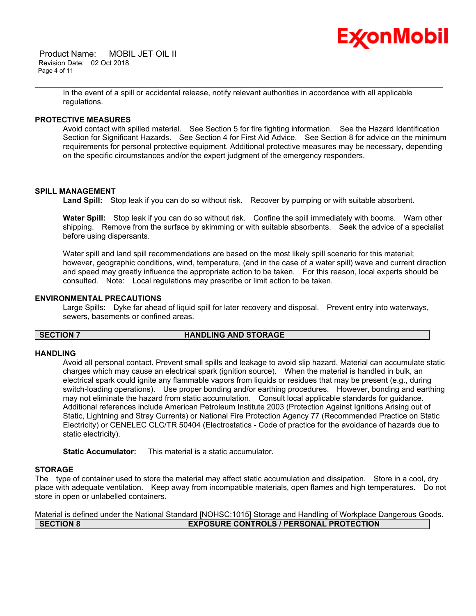

 Product Name: MOBIL JET OIL II Revision Date: 02 Oct 2018 Page 4 of 11

\_\_\_\_\_\_\_\_\_\_\_\_\_\_\_\_\_\_\_\_\_\_\_\_\_\_\_\_\_\_\_\_\_\_\_\_\_\_\_\_\_\_\_\_\_\_\_\_\_\_\_\_\_\_\_\_\_\_\_\_\_\_\_\_\_\_\_\_\_\_\_\_\_\_\_\_\_\_\_\_\_\_\_\_\_\_\_\_\_\_\_\_\_\_\_\_\_\_\_\_\_\_\_\_\_\_\_\_\_\_\_\_\_\_\_\_\_\_ In the event of a spill or accidental release, notify relevant authorities in accordance with all applicable regulations.

#### **PROTECTIVE MEASURES**

Avoid contact with spilled material. See Section 5 for fire fighting information. See the Hazard Identification Section for Significant Hazards. See Section 4 for First Aid Advice. See Section 8 for advice on the minimum requirements for personal protective equipment. Additional protective measures may be necessary, depending on the specific circumstances and/or the expert judgment of the emergency responders.

#### **SPILL MANAGEMENT**

**Land Spill:** Stop leak if you can do so without risk. Recover by pumping or with suitable absorbent.

**Water Spill:** Stop leak if you can do so without risk. Confine the spill immediately with booms. Warn other shipping. Remove from the surface by skimming or with suitable absorbents. Seek the advice of a specialist before using dispersants.

Water spill and land spill recommendations are based on the most likely spill scenario for this material; however, geographic conditions, wind, temperature, (and in the case of a water spill) wave and current direction and speed may greatly influence the appropriate action to be taken. For this reason, local experts should be consulted. Note: Local regulations may prescribe or limit action to be taken.

#### **ENVIRONMENTAL PRECAUTIONS**

Large Spills: Dyke far ahead of liquid spill for later recovery and disposal. Prevent entry into waterways, sewers, basements or confined areas.

#### **SECTION 7 HANDLING AND STORAGE**

#### **HANDLING**

Avoid all personal contact. Prevent small spills and leakage to avoid slip hazard. Material can accumulate static charges which may cause an electrical spark (ignition source). When the material is handled in bulk, an electrical spark could ignite any flammable vapors from liquids or residues that may be present (e.g., during switch-loading operations). Use proper bonding and/or earthing procedures. However, bonding and earthing may not eliminate the hazard from static accumulation. Consult local applicable standards for guidance. Additional references include American Petroleum Institute 2003 (Protection Against Ignitions Arising out of Static, Lightning and Stray Currents) or National Fire Protection Agency 77 (Recommended Practice on Static Electricity) or CENELEC CLC/TR 50404 (Electrostatics - Code of practice for the avoidance of hazards due to static electricity).

**Static Accumulator:** This material is a static accumulator.

#### **STORAGE**

The type of container used to store the material may affect static accumulation and dissipation. Store in a cool, dry place with adequate ventilation. Keep away from incompatible materials, open flames and high temperatures. Do not store in open or unlabelled containers.

Material is defined under the National Standard [NOHSC:1015] Storage and Handling of Workplace Dangerous Goods. **SECTION 8 EXPOSURE CONTROLS / PERSONAL PROTECTION**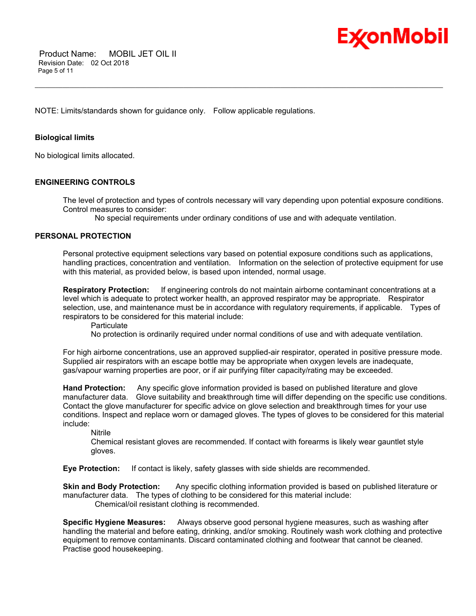

NOTE: Limits/standards shown for guidance only. Follow applicable regulations.

#### **Biological limits**

No biological limits allocated.

#### **ENGINEERING CONTROLS**

The level of protection and types of controls necessary will vary depending upon potential exposure conditions. Control measures to consider:

No special requirements under ordinary conditions of use and with adequate ventilation.

\_\_\_\_\_\_\_\_\_\_\_\_\_\_\_\_\_\_\_\_\_\_\_\_\_\_\_\_\_\_\_\_\_\_\_\_\_\_\_\_\_\_\_\_\_\_\_\_\_\_\_\_\_\_\_\_\_\_\_\_\_\_\_\_\_\_\_\_\_\_\_\_\_\_\_\_\_\_\_\_\_\_\_\_\_\_\_\_\_\_\_\_\_\_\_\_\_\_\_\_\_\_\_\_\_\_\_\_\_\_\_\_\_\_\_\_\_\_

#### **PERSONAL PROTECTION**

Personal protective equipment selections vary based on potential exposure conditions such as applications, handling practices, concentration and ventilation. Information on the selection of protective equipment for use with this material, as provided below, is based upon intended, normal usage.

**Respiratory Protection:** If engineering controls do not maintain airborne contaminant concentrations at a level which is adequate to protect worker health, an approved respirator may be appropriate. Respirator selection, use, and maintenance must be in accordance with regulatory requirements, if applicable. Types of respirators to be considered for this material include:

**Particulate** 

No protection is ordinarily required under normal conditions of use and with adequate ventilation.

For high airborne concentrations, use an approved supplied-air respirator, operated in positive pressure mode. Supplied air respirators with an escape bottle may be appropriate when oxygen levels are inadequate, gas/vapour warning properties are poor, or if air purifying filter capacity/rating may be exceeded.

**Hand Protection:** Any specific glove information provided is based on published literature and glove manufacturer data. Glove suitability and breakthrough time will differ depending on the specific use conditions. Contact the glove manufacturer for specific advice on glove selection and breakthrough times for your use conditions. Inspect and replace worn or damaged gloves. The types of gloves to be considered for this material include:

Nitrile

Chemical resistant gloves are recommended. If contact with forearms is likely wear gauntlet style gloves.

**Eye Protection:** If contact is likely, safety glasses with side shields are recommended.

**Skin and Body Protection:** Any specific clothing information provided is based on published literature or manufacturer data. The types of clothing to be considered for this material include: Chemical/oil resistant clothing is recommended.

**Specific Hygiene Measures:** Always observe good personal hygiene measures, such as washing after handling the material and before eating, drinking, and/or smoking. Routinely wash work clothing and protective equipment to remove contaminants. Discard contaminated clothing and footwear that cannot be cleaned. Practise good housekeeping.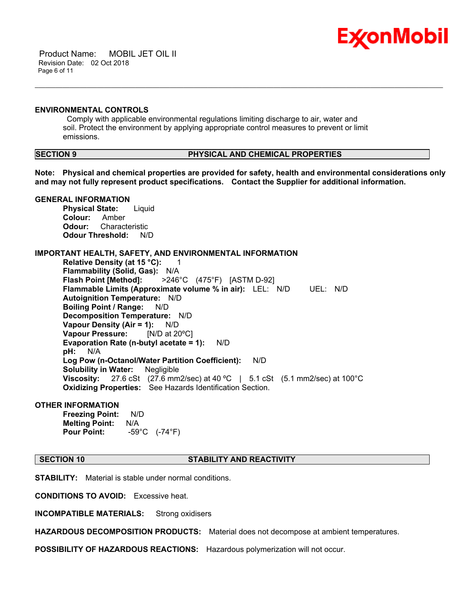

 Product Name: MOBIL JET OIL II Revision Date: 02 Oct 2018 Page 6 of 11

#### **ENVIRONMENTAL CONTROLS**

 Comply with applicable environmental regulations limiting discharge to air, water and soil. Protect the environment by applying appropriate control measures to prevent or limit emissions.

### **SECTION 9 PHYSICAL AND CHEMICAL PROPERTIES**

**Note: Physical and chemical properties are provided for safety, health and environmental considerations only and may not fully represent product specifications. Contact the Supplier for additional information.**

\_\_\_\_\_\_\_\_\_\_\_\_\_\_\_\_\_\_\_\_\_\_\_\_\_\_\_\_\_\_\_\_\_\_\_\_\_\_\_\_\_\_\_\_\_\_\_\_\_\_\_\_\_\_\_\_\_\_\_\_\_\_\_\_\_\_\_\_\_\_\_\_\_\_\_\_\_\_\_\_\_\_\_\_\_\_\_\_\_\_\_\_\_\_\_\_\_\_\_\_\_\_\_\_\_\_\_\_\_\_\_\_\_\_\_\_\_\_

### **GENERAL INFORMATION**

**Physical State:** Liquid **Colour:** Amber **Odour:** Characteristic **Odour Threshold:** N/D

### **IMPORTANT HEALTH, SAFETY, AND ENVIRONMENTAL INFORMATION**

**Relative Density (at 15 °C):** 1 **Flammability (Solid, Gas):** N/A **Flash Point [Method]:** >246°C (475°F) [ASTM D-92] **Flammable Limits (Approximate volume % in air):** LEL: N/D UEL: N/D **Autoignition Temperature:** N/D **Boiling Point / Range:** N/D **Decomposition Temperature:** N/D **Vapour Density (Air = 1):** N/D **Vapour Pressure:** [N/D at 20ºC] **Evaporation Rate (n-butyl acetate = 1):** N/D **pH:** N/A **Log Pow (n-Octanol/Water Partition Coefficient):** N/D **Solubility in Water:** Negligible **Viscosity:** 27.6 cSt (27.6 mm2/sec) at 40 ºC | 5.1 cSt (5.1 mm2/sec) at 100°C **Oxidizing Properties:** See Hazards Identification Section.

#### **OTHER INFORMATION**

**Freezing Point:** N/D **Melting Point:** N/A **Pour Point:** -59°C (-74°F)

#### **SECTION 10 STABILITY AND REACTIVITY**

**STABILITY:** Material is stable under normal conditions.

**CONDITIONS TO AVOID:** Excessive heat.

**INCOMPATIBLE MATERIALS:** Strong oxidisers

**HAZARDOUS DECOMPOSITION PRODUCTS:** Material does not decompose at ambient temperatures.

**POSSIBILITY OF HAZARDOUS REACTIONS:** Hazardous polymerization will not occur.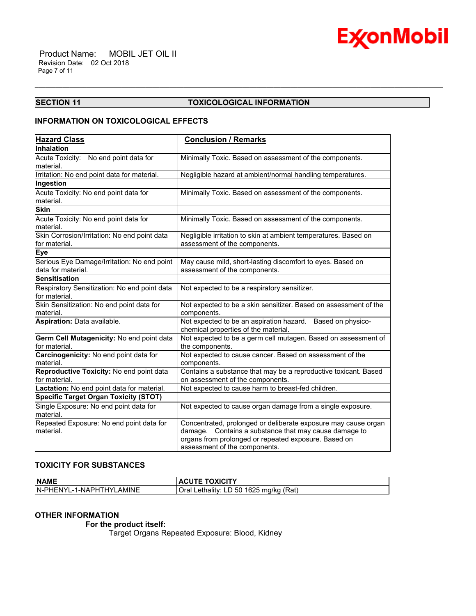

#### **SECTION 11 TOXICOLOGICAL INFORMATION**

\_\_\_\_\_\_\_\_\_\_\_\_\_\_\_\_\_\_\_\_\_\_\_\_\_\_\_\_\_\_\_\_\_\_\_\_\_\_\_\_\_\_\_\_\_\_\_\_\_\_\_\_\_\_\_\_\_\_\_\_\_\_\_\_\_\_\_\_\_\_\_\_\_\_\_\_\_\_\_\_\_\_\_\_\_\_\_\_\_\_\_\_\_\_\_\_\_\_\_\_\_\_\_\_\_\_\_\_\_\_\_\_\_\_\_\_\_\_

### **INFORMATION ON TOXICOLOGICAL EFFECTS**

| <b>Hazard Class</b>                                               | <b>Conclusion / Remarks</b>                                                                                                                                                                                         |
|-------------------------------------------------------------------|---------------------------------------------------------------------------------------------------------------------------------------------------------------------------------------------------------------------|
| Inhalation                                                        |                                                                                                                                                                                                                     |
| Acute Toxicity: No end point data for                             | Minimally Toxic. Based on assessment of the components.                                                                                                                                                             |
| material.<br>Irritation: No end point data for material.          | Negligible hazard at ambient/normal handling temperatures.                                                                                                                                                          |
| Ingestion                                                         |                                                                                                                                                                                                                     |
| Acute Toxicity: No end point data for<br>material.                | Minimally Toxic. Based on assessment of the components.                                                                                                                                                             |
| <b>Skin</b>                                                       |                                                                                                                                                                                                                     |
| Acute Toxicity: No end point data for<br>material.                | Minimally Toxic. Based on assessment of the components.                                                                                                                                                             |
| Skin Corrosion/Irritation: No end point data<br>for material.     | Negligible irritation to skin at ambient temperatures. Based on<br>assessment of the components.                                                                                                                    |
| Eye                                                               |                                                                                                                                                                                                                     |
| Serious Eye Damage/Irritation: No end point<br>data for material. | May cause mild, short-lasting discomfort to eyes. Based on<br>assessment of the components.                                                                                                                         |
| <b>Sensitisation</b>                                              |                                                                                                                                                                                                                     |
| Respiratory Sensitization: No end point data<br>for material.     | Not expected to be a respiratory sensitizer.                                                                                                                                                                        |
| Skin Sensitization: No end point data for<br>material.            | Not expected to be a skin sensitizer. Based on assessment of the<br>components.                                                                                                                                     |
| Aspiration: Data available.                                       | Not expected to be an aspiration hazard. Based on physico-<br>chemical properties of the material.                                                                                                                  |
| Germ Cell Mutagenicity: No end point data<br>for material.        | Not expected to be a germ cell mutagen. Based on assessment of<br>the components.                                                                                                                                   |
| Carcinogenicity: No end point data for<br>material.               | Not expected to cause cancer. Based on assessment of the<br>components.                                                                                                                                             |
| Reproductive Toxicity: No end point data<br>for material.         | Contains a substance that may be a reproductive toxicant. Based<br>on assessment of the components.                                                                                                                 |
| Lactation: No end point data for material.                        | Not expected to cause harm to breast-fed children.                                                                                                                                                                  |
| <b>Specific Target Organ Toxicity (STOT)</b>                      |                                                                                                                                                                                                                     |
| Single Exposure: No end point data for<br>material.               | Not expected to cause organ damage from a single exposure.                                                                                                                                                          |
| Repeated Exposure: No end point data for<br>material.             | Concentrated, prolonged or deliberate exposure may cause organ<br>Contains a substance that may cause damage to<br>damage.<br>organs from prolonged or repeated exposure. Based on<br>assessment of the components. |

### **TOXICITY FOR SUBSTANCES**

| <b>NAME</b>               | <b>ACUTE TOXICITY</b>                  |
|---------------------------|----------------------------------------|
| IN-PHENYL-1-NAPHTHYLAMINE | Oral Lethality: LD 50 1625 mg/kg (Rat) |

#### **OTHER INFORMATION**

 **For the product itself:** 

Target Organs Repeated Exposure: Blood, Kidney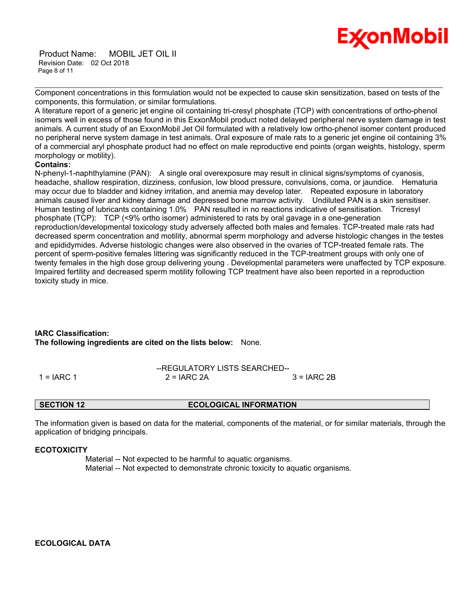

 Product Name: MOBIL JET OIL II Revision Date: 02 Oct 2018 Page 8 of 11

\_\_\_\_\_\_\_\_\_\_\_\_\_\_\_\_\_\_\_\_\_\_\_\_\_\_\_\_\_\_\_\_\_\_\_\_\_\_\_\_\_\_\_\_\_\_\_\_\_\_\_\_\_\_\_\_\_\_\_\_\_\_\_\_\_\_\_\_\_\_\_\_\_\_\_\_\_\_\_\_\_\_\_\_\_\_\_\_\_\_\_\_\_\_\_\_\_\_\_\_\_\_\_\_\_\_\_\_\_\_\_\_\_\_\_\_\_\_ Component concentrations in this formulation would not be expected to cause skin sensitization, based on tests of the components, this formulation, or similar formulations.

A literature report of a generic jet engine oil containing tri-cresyl phosphate (TCP) with concentrations of ortho-phenol isomers well in excess of those found in this ExxonMobil product noted delayed peripheral nerve system damage in test animals. A current study of an ExxonMobil Jet Oil formulated with a relatively low ortho-phenol isomer content produced no peripheral nerve system damage in test animals. Oral exposure of male rats to a generic jet engine oil containing 3% of a commercial aryl phosphate product had no effect on male reproductive end points (organ weights, histology, sperm morphology or motility).

#### **Contains:**

N-phenyl-1-naphthylamine (PAN): A single oral overexposure may result in clinical signs/symptoms of cyanosis, headache, shallow respiration, dizziness, confusion, low blood pressure, convulsions, coma, or jaundice. Hematuria may occur due to bladder and kidney irritation, and anemia may develop later. Repeated exposure in laboratory animals caused liver and kidney damage and depressed bone marrow activity. Undiluted PAN is a skin sensitiser. Human testing of lubricants containing 1.0% PAN resulted in no reactions indicative of sensitisation. Tricresyl phosphate (TCP): TCP (<9% ortho isomer) administered to rats by oral gavage in a one-generation reproduction/developmental toxicology study adversely affected both males and females. TCP-treated male rats had decreased sperm concentration and motility, abnormal sperm morphology and adverse histologic changes in the testes and epididymides. Adverse histologic changes were also observed in the ovaries of TCP-treated female rats. The percent of sperm-positive females littering was significantly reduced in the TCP-treatment groups with only one of twenty females in the high dose group delivering young . Developmental parameters were unaffected by TCP exposure. Impaired fertility and decreased sperm motility following TCP treatment have also been reported in a reproduction toxicity study in mice.

### **IARC Classification: The following ingredients are cited on the lists below:** None.

|              | --REGULATORY LISTS SEARCHED-- |              |
|--------------|-------------------------------|--------------|
| 1 = $IARC 1$ | $2 = IARC 2A$                 | $3 = IARC2B$ |

**SECTION 12 ECOLOGICAL INFORMATION**

The information given is based on data for the material, components of the material, or for similar materials, through the application of bridging principals.

#### **ECOTOXICITY**

 Material -- Not expected to be harmful to aquatic organisms. Material -- Not expected to demonstrate chronic toxicity to aquatic organisms.

**ECOLOGICAL DATA**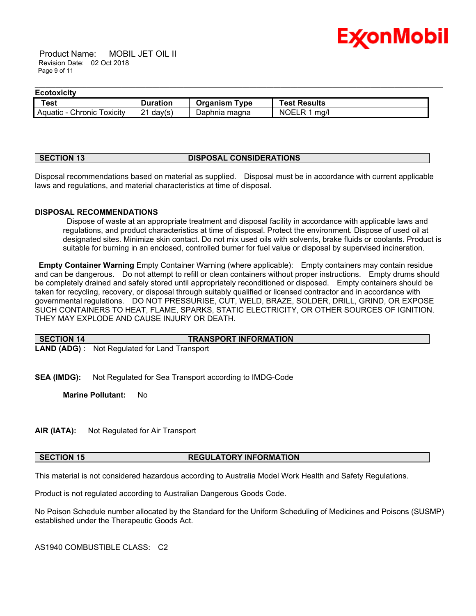

 Product Name: MOBIL JET OIL II Revision Date: 02 Oct 2018 Page 9 of 11

#### \_\_\_\_\_\_\_\_\_\_\_\_\_\_\_\_\_\_\_\_\_\_\_\_\_\_\_\_\_\_\_\_\_\_\_\_\_\_\_\_\_\_\_\_\_\_\_\_\_\_\_\_\_\_\_\_\_\_\_\_\_\_\_\_\_\_\_\_\_\_\_\_\_\_\_\_\_\_\_\_\_\_\_\_\_\_\_\_\_\_\_\_\_\_\_\_\_\_\_\_\_\_\_\_\_\_\_\_\_\_\_\_\_\_\_\_\_\_ **Ecotoxicity**

| -------------                   |                  |                  |                                          |
|---------------------------------|------------------|------------------|------------------------------------------|
| Test                            | Duration         | Tvpe<br>Organism | <b>Fest Results</b>                      |
| Chronic<br>Aquatic<br>I oxicity | ິ<br>day(s)<br>▃ | Daphnia magna    | <b>NOEL</b><br>ma/l<br>$\mathbf{\kappa}$ |

#### **SECTION 13 DISPOSAL CONSIDERATIONS**

Disposal recommendations based on material as supplied. Disposal must be in accordance with current applicable laws and regulations, and material characteristics at time of disposal.

#### **DISPOSAL RECOMMENDATIONS**

 Dispose of waste at an appropriate treatment and disposal facility in accordance with applicable laws and regulations, and product characteristics at time of disposal. Protect the environment. Dispose of used oil at designated sites. Minimize skin contact. Do not mix used oils with solvents, brake fluids or coolants. Product is suitable for burning in an enclosed, controlled burner for fuel value or disposal by supervised incineration.

**Empty Container Warning** Empty Container Warning (where applicable): Empty containers may contain residue and can be dangerous. Do not attempt to refill or clean containers without proper instructions. Empty drums should be completely drained and safely stored until appropriately reconditioned or disposed. Empty containers should be taken for recycling, recovery, or disposal through suitably qualified or licensed contractor and in accordance with governmental regulations. DO NOT PRESSURISE, CUT, WELD, BRAZE, SOLDER, DRILL, GRIND, OR EXPOSE SUCH CONTAINERS TO HEAT, FLAME, SPARKS, STATIC ELECTRICITY, OR OTHER SOURCES OF IGNITION. THEY MAY EXPLODE AND CAUSE INJURY OR DEATH.

| SECTION 14 | <b>TRANSPORT INFORMATION</b>                         |
|------------|------------------------------------------------------|
|            | <b>LAND (ADG)</b> : Not Regulated for Land Transport |

**SEA (IMDG):** Not Regulated for Sea Transport according to IMDG-Code

**Marine Pollutant:** No

**AIR (IATA):** Not Regulated for Air Transport

#### **SECTION 15 REGULATORY INFORMATION**

This material is not considered hazardous according to Australia Model Work Health and Safety Regulations.

Product is not regulated according to Australian Dangerous Goods Code.

No Poison Schedule number allocated by the Standard for the Uniform Scheduling of Medicines and Poisons (SUSMP) established under the Therapeutic Goods Act.

AS1940 COMBUSTIBLE CLASS: C2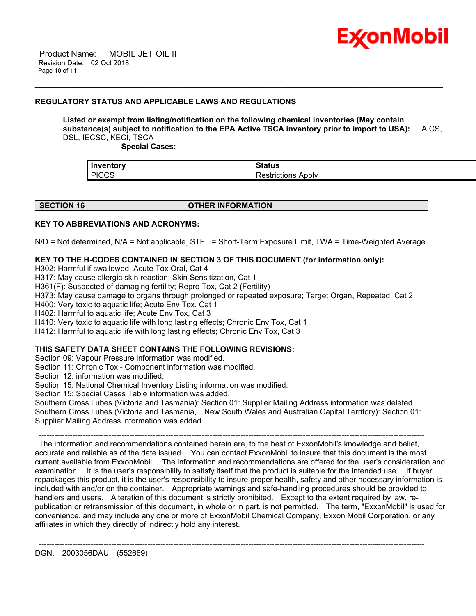

#### **REGULATORY STATUS AND APPLICABLE LAWS AND REGULATIONS**

### **Listed or exempt from listing/notification on the following chemical inventories (May contain substance(s) subject to notification to the EPA Active TSCA inventory prior to import to USA):** AICS, DSL, IECSC, KECI, TSCA

\_\_\_\_\_\_\_\_\_\_\_\_\_\_\_\_\_\_\_\_\_\_\_\_\_\_\_\_\_\_\_\_\_\_\_\_\_\_\_\_\_\_\_\_\_\_\_\_\_\_\_\_\_\_\_\_\_\_\_\_\_\_\_\_\_\_\_\_\_\_\_\_\_\_\_\_\_\_\_\_\_\_\_\_\_\_\_\_\_\_\_\_\_\_\_\_\_\_\_\_\_\_\_\_\_\_\_\_\_\_\_\_\_\_\_\_\_\_

 **Special Cases:**

| Inventory            | $\sim$ $\sim$ $\sim$ $\sim$ $\sim$ $\sim$<br>้อเสเนร |
|----------------------|------------------------------------------------------|
| <b>PICCS</b><br>ּטט، | Apply<br>$\sim$<br>-------<br>rictions .             |

| <b>SECTION 16</b> |  |
|-------------------|--|

#### **OTHER INFORMATION**

#### **KEY TO ABBREVIATIONS AND ACRONYMS:**

N/D = Not determined, N/A = Not applicable, STEL = Short-Term Exposure Limit, TWA = Time-Weighted Average

#### **KEY TO THE H-CODES CONTAINED IN SECTION 3 OF THIS DOCUMENT (for information only):**

H302: Harmful if swallowed; Acute Tox Oral, Cat 4

H317: May cause allergic skin reaction; Skin Sensitization, Cat 1

H361(F): Suspected of damaging fertility; Repro Tox, Cat 2 (Fertility)

H373: May cause damage to organs through prolonged or repeated exposure; Target Organ, Repeated, Cat 2

H400: Very toxic to aquatic life; Acute Env Tox, Cat 1

H402: Harmful to aquatic life; Acute Env Tox, Cat 3

H410: Very toxic to aquatic life with long lasting effects; Chronic Env Tox, Cat 1

H412: Harmful to aquatic life with long lasting effects; Chronic Env Tox, Cat 3

#### **THIS SAFETY DATA SHEET CONTAINS THE FOLLOWING REVISIONS:**

Section 09: Vapour Pressure information was modified.

Section 11: Chronic Tox - Component information was modified.

Section 12: information was modified.

Section 15: National Chemical Inventory Listing information was modified.

Section 15: Special Cases Table information was added.

Southern Cross Lubes (Victoria and Tasmania): Section 01: Supplier Mailing Address information was deleted. Southern Cross Lubes (Victoria and Tasmania, New South Wales and Australian Capital Territory): Section 01: Supplier Mailing Address information was added.

 ----------------------------------------------------------------------------------------------------------------------------------------------------- The information and recommendations contained herein are, to the best of ExxonMobil's knowledge and belief, accurate and reliable as of the date issued. You can contact ExxonMobil to insure that this document is the most current available from ExxonMobil. The information and recommendations are offered for the user's consideration and examination. It is the user's responsibility to satisfy itself that the product is suitable for the intended use. If buyer repackages this product, it is the user's responsibility to insure proper health, safety and other necessary information is included with and/or on the container. Appropriate warnings and safe-handling procedures should be provided to handlers and users. Alteration of this document is strictly prohibited. Except to the extent required by law, republication or retransmission of this document, in whole or in part, is not permitted. The term, "ExxonMobil" is used for convenience, and may include any one or more of ExxonMobil Chemical Company, Exxon Mobil Corporation, or any affiliates in which they directly of indirectly hold any interest.

-----------------------------------------------------------------------------------------------------------------------------------------------------